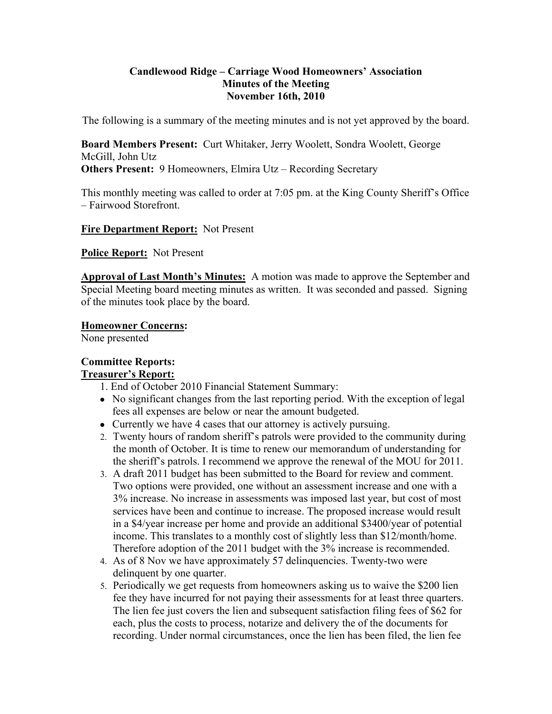#### **Candlewood Ridge – Carriage Wood Homeowners' Association Minutes of the Meeting November 16th, 2010**

The following is a summary of the meeting minutes and is not yet approved by the board.

**Board Members Present:** Curt Whitaker, Jerry Woolett, Sondra Woolett, George McGill, John Utz **Others Present: 9 Homeowners, Elmira Utz – Recording Secretary** 

This monthly meeting was called to order at 7:05 pm. at the King County Sheriff's Office – Fairwood Storefront.

#### **Fire Department Report:** Not Present

**Police Report:** Not Present

**Approval of Last Month's Minutes:** A motion was made to approve the September and Special Meeting board meeting minutes as written. It was seconded and passed. Signing of the minutes took place by the board.

**Homeowner Concerns:** 

None presented

# **Committee Reports:**

## **Treasurer's Report:**

1. End of October 2010 Financial Statement Summary:

- No significant changes from the last reporting period. With the exception of legal fees all expenses are below or near the amount budgeted.
- Currently we have 4 cases that our attorney is actively pursuing.
- 2. Twenty hours of random sheriff's patrols were provided to the community during the month of October. It is time to renew our memorandum of understanding for the sheriff's patrols. I recommend we approve the renewal of the MOU for 2011.
- 3. A draft 2011 budget has been submitted to the Board for review and comment. Two options were provided, one without an assessment increase and one with a 3% increase. No increase in assessments was imposed last year, but cost of most services have been and continue to increase. The proposed increase would result in a \$4/year increase per home and provide an additional \$3400/year of potential income. This translates to a monthly cost of slightly less than \$12/month/home. Therefore adoption of the 2011 budget with the 3% increase is recommended.
- 4. As of 8 Nov we have approximately 57 delinquencies. Twenty-two were delinquent by one quarter.
- 5. Periodically we get requests from homeowners asking us to waive the \$200 lien fee they have incurred for not paying their assessments for at least three quarters. The lien fee just covers the lien and subsequent satisfaction filing fees of \$62 for each, plus the costs to process, notarize and delivery the of the documents for recording. Under normal circumstances, once the lien has been filed, the lien fee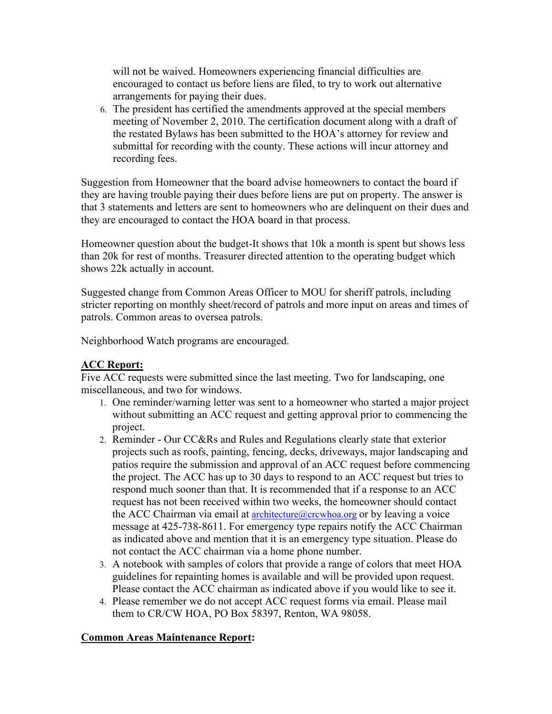will not be waived. Homeowners experiencing financial difficulties are encouraged to contact us before liens are filed, to try to work out alternative arrangements for paying their dues.

6. The president has certified the amendments approved at the special members meeting of November 2, 2010. The certification document along with a draft of the restated Bylaws has been submitted to the HOA's attorney for review and submittal for recording with the county. These actions will incur attorney and recording fees.

Suggestion from Homeowner that the board advise homeowners to contact the board if they are having trouble paying their dues before liens are put on property. The answer is that 3 statements and letters are sent to homeowners who are delinquent on their dues and they are encouraged to contact the HOA board in that process.

Homeowner question about the budget-It shows that 10k a month is spent but shows less than 20k for rest of months. Treasurer directed attention to the operating budget which shows 22k actually in account.

Suggested change from Common Areas Officer to MOU for sheriff patrols, including stricter reporting on monthly sheet/record of patrols and more input on areas and times of patrols. Common areas to oversea patrols.

Neighborhood Watch programs are encouraged.

## **ACC Report:**

Five ACC requests were submitted since the last meeting. Two for landscaping, one miscellaneous, and two for windows.

- 1. One reminder/warning letter was sent to a homeowner who started a major project without submitting an ACC request and getting approval prior to commencing the project.
- 2. Reminder Our CC&Rs and Rules and Regulations clearly state that exterior projects such as roofs, painting, fencing, decks, driveways, major landscaping and patios require the submission and approval of an ACC request before commencing the project. The ACC has up to 30 days to respond to an ACC request but tries to respond much sooner than that. It is recommended that if a response to an ACC request has not been received within two weeks, the homeowner should contact the ACC Chairman via email at  $\architecture@crcwhoa.org$  or by leaving a voice message at 425-738-8611. For emergency type repairs notify the ACC Chairman as indicated above and mention that it is an emergency type situation. Please do not contact the ACC chairman via a home phone number.
- 3. A notebook with samples of colors that provide a range of colors that meet HOA guidelines for repainting homes is available and will be provided upon request. Please contact the ACC chairman as indicated above if you would like to see it.
- 4. Please remember we do not accept ACC request forms via email. Please mail them to CR/CW HOA, PO Box 58397, Renton, WA 98058.

# **Common Areas Maintenance Report:**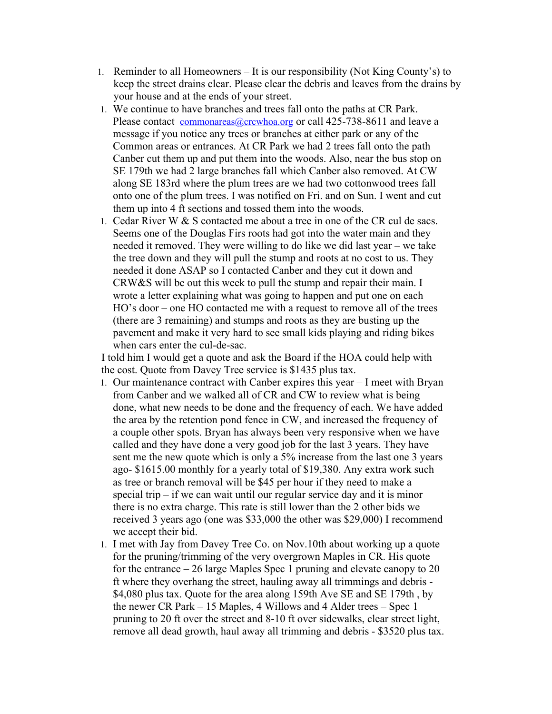- 1. Reminder to all Homeowners It is our responsibility (Not King County's) to keep the street drains clear. Please clear the debris and leaves from the drains by your house and at the ends of your street.
- 1. We continue to have branches and trees fall onto the paths at CR Park. Please contact commonareas@crcwhoa.org or call 425-738-8611 and leave a message if you notice any trees or branches at either park or any of the Common areas or entrances. At CR Park we had 2 trees fall onto the path Canber cut them up and put them into the woods. Also, near the bus stop on SE 179th we had 2 large branches fall which Canber also removed. At CW along SE 183rd where the plum trees are we had two cottonwood trees fall onto one of the plum trees. I was notified on Fri. and on Sun. I went and cut them up into 4 ft sections and tossed them into the woods.
- 1. Cedar River W & S contacted me about a tree in one of the CR cul de sacs. Seems one of the Douglas Firs roots had got into the water main and they needed it removed. They were willing to do like we did last year – we take the tree down and they will pull the stump and roots at no cost to us. They needed it done ASAP so I contacted Canber and they cut it down and CRW&S will be out this week to pull the stump and repair their main. I wrote a letter explaining what was going to happen and put one on each HO's door – one HO contacted me with a request to remove all of the trees (there are 3 remaining) and stumps and roots as they are busting up the pavement and make it very hard to see small kids playing and riding bikes when cars enter the cul-de-sac.

I told him I would get a quote and ask the Board if the HOA could help with the cost. Quote from Davey Tree service is \$1435 plus tax.

- 1. Our maintenance contract with Canber expires this year I meet with Bryan from Canber and we walked all of CR and CW to review what is being done, what new needs to be done and the frequency of each. We have added the area by the retention pond fence in CW, and increased the frequency of a couple other spots. Bryan has always been very responsive when we have called and they have done a very good job for the last 3 years. They have sent me the new quote which is only a 5% increase from the last one 3 years ago- \$1615.00 monthly for a yearly total of \$19,380. Any extra work such as tree or branch removal will be \$45 per hour if they need to make a special trip – if we can wait until our regular service day and it is minor there is no extra charge. This rate is still lower than the 2 other bids we received 3 years ago (one was \$33,000 the other was \$29,000) I recommend we accept their bid.
- 1. I met with Jay from Davey Tree Co. on Nov.10th about working up a quote for the pruning/trimming of the very overgrown Maples in CR. His quote for the entrance – 26 large Maples Spec 1 pruning and elevate canopy to 20 ft where they overhang the street, hauling away all trimmings and debris - \$4,080 plus tax. Quote for the area along 159th Ave SE and SE 179th , by the newer CR Park – 15 Maples, 4 Willows and 4 Alder trees – Spec 1 pruning to 20 ft over the street and 8-10 ft over sidewalks, clear street light, remove all dead growth, haul away all trimming and debris - \$3520 plus tax.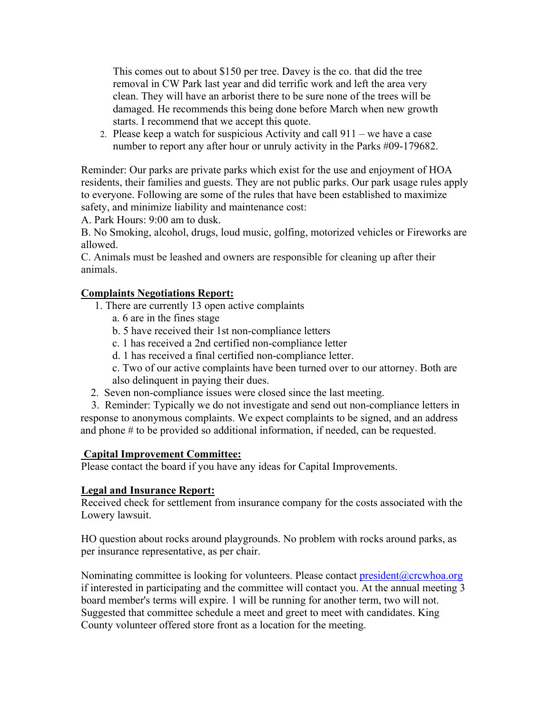This comes out to about \$150 per tree. Davey is the co. that did the tree removal in CW Park last year and did terrific work and left the area very clean. They will have an arborist there to be sure none of the trees will be damaged. He recommends this being done before March when new growth starts. I recommend that we accept this quote.

2. Please keep a watch for suspicious Activity and call 911 – we have a case number to report any after hour or unruly activity in the Parks #09-179682.

Reminder: Our parks are private parks which exist for the use and enjoyment of HOA residents, their families and guests. They are not public parks. Our park usage rules apply to everyone. Following are some of the rules that have been established to maximize safety, and minimize liability and maintenance cost:

A. Park Hours: 9:00 am to dusk.

B. No Smoking, alcohol, drugs, loud music, golfing, motorized vehicles or Fireworks are allowed.

C. Animals must be leashed and owners are responsible for cleaning up after their animals.

## **Complaints Negotiations Report:**

- 1. There are currently 13 open active complaints
	- a. 6 are in the fines stage
	- b. 5 have received their 1st non-compliance letters
	- c. 1 has received a 2nd certified non-compliance letter
	- d. 1 has received a final certified non-compliance letter.
	- c. Two of our active complaints have been turned over to our attorney. Both are also delinquent in paying their dues.
- 2. Seven non-compliance issues were closed since the last meeting.

 3. Reminder: Typically we do not investigate and send out non-compliance letters in response to anonymous complaints. We expect complaints to be signed, and an address and phone # to be provided so additional information, if needed, can be requested.

## **Capital Improvement Committee:**

Please contact the board if you have any ideas for Capital Improvements.

# **Legal and Insurance Report:**

Received check for settlement from insurance company for the costs associated with the Lowery lawsuit.

HO question about rocks around playgrounds. No problem with rocks around parks, as per insurance representative, as per chair.

Nominating committee is looking for volunteers. Please contact president@crcwhoa.org if interested in participating and the committee will contact you. At the annual meeting 3 board member's terms will expire. 1 will be running for another term, two will not. Suggested that committee schedule a meet and greet to meet with candidates. King County volunteer offered store front as a location for the meeting.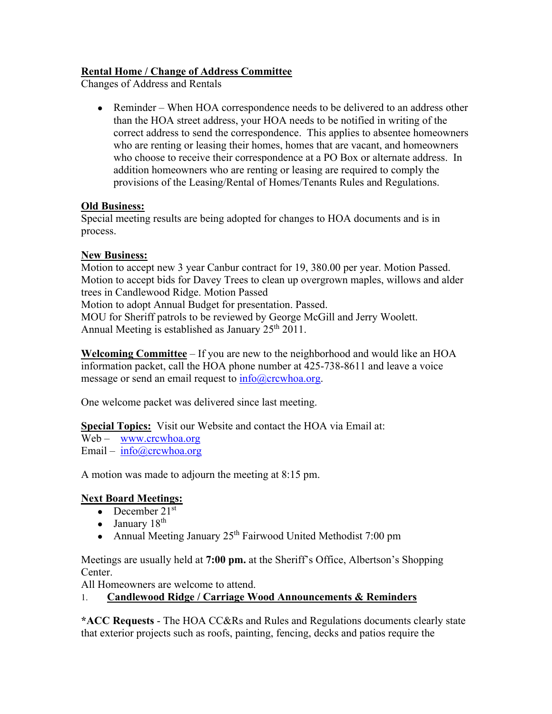# **Rental Home / Change of Address Committee**

Changes of Address and Rentals

• Reminder – When HOA correspondence needs to be delivered to an address other than the HOA street address, your HOA needs to be notified in writing of the correct address to send the correspondence. This applies to absentee homeowners who are renting or leasing their homes, homes that are vacant, and homeowners who choose to receive their correspondence at a PO Box or alternate address. In addition homeowners who are renting or leasing are required to comply the provisions of the Leasing/Rental of Homes/Tenants Rules and Regulations.

## **Old Business:**

Special meeting results are being adopted for changes to HOA documents and is in process.

## **New Business:**

Motion to accept new 3 year Canbur contract for 19, 380.00 per year. Motion Passed. Motion to accept bids for Davey Trees to clean up overgrown maples, willows and alder trees in Candlewood Ridge. Motion Passed Motion to adopt Annual Budget for presentation. Passed. MOU for Sheriff patrols to be reviewed by George McGill and Jerry Woolett. Annual Meeting is established as January  $25<sup>th</sup> 2011$ .

**Welcoming Committee** – If you are new to the neighborhood and would like an HOA information packet, call the HOA phone number at 425-738-8611 and leave a voice message or send an email request to  $info@crcwhoa.org$ .

One welcome packet was delivered since last meeting.

**Special Topics:** Visit our Website and contact the HOA via Email at:

Web – www.crcwhoa.org Email – info@crcwhoa.org

A motion was made to adjourn the meeting at 8:15 pm.

# **Next Board Meetings:**

- December  $21<sup>st</sup>$
- January  $18<sup>th</sup>$
- Annual Meeting January  $25<sup>th</sup>$  Fairwood United Methodist 7:00 pm

Meetings are usually held at **7:00 pm.** at the Sheriff's Office, Albertson's Shopping Center.

All Homeowners are welcome to attend.

## 1. **Candlewood Ridge / Carriage Wood Announcements & Reminders**

**\*ACC Requests** - The HOA CC&Rs and Rules and Regulations documents clearly state that exterior projects such as roofs, painting, fencing, decks and patios require the